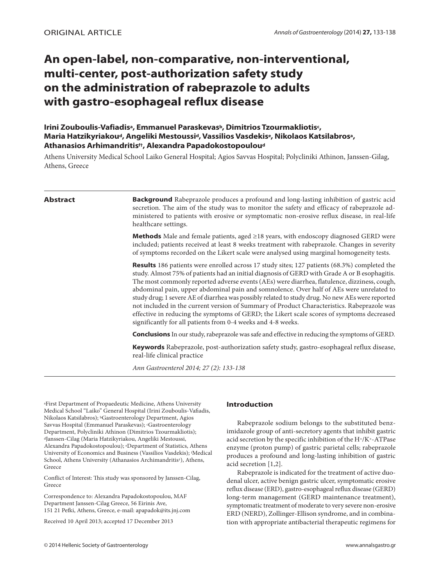# **An open-label, non-comparative, non-interventional, multi-center, post-authorization safety study on the administration of rabeprazole to adults with gastro-esophageal reflux disease**

# **Irini Zouboulis-Vafiadisa, Emmanuel Paraskevasb, Dimitrios Tzourmakliotisc, Μaria Hatzikyriakoud, Angeliki Mestoussid, Vassilios Vasdekise, Νikolaos Katsilabrosa, Αthanasios Arhimandritisf†, Alexandra Papadokostopouloud**

Athens University Medical School Laiko General Hospital; Agios Savvas Hospital; Polycliniki Athinon, Janssen-Gilag, Athens, Greece

**Abstract Background** Rabeprazole produces a profound and long-lasting inhibition of gastric acid secretion. The aim of the study was to monitor the safety and efficacy of rabeprazole administered to patients with erosive or symptomatic non-erosive reflux disease, in real-life healthcare settings.

> **Methods** Male and female patients, aged ≥18 years, with endoscopy diagnosed GERD were included; patients received at least 8 weeks treatment with rabeprazole. Changes in severity of symptoms recorded on the Likert scale were analysed using marginal homogeneity tests.

> **Results** 186 patients were enrolled across 17 study sites; 127 patients (68.3%) completed the study. Almost 75% of patients had an initial diagnosis of GERD with Grade A or B esophagitis. The most commonly reported adverse events (AEs) were diarrhea, flatulence, dizziness, cough, abdominal pain, upper abdominal pain and somnolence. Over half of AEs were unrelated to study drug; 1 severe AE of diarrhea was possibly related to study drug. No new AEs were reported not included in the current version of Summary of Product Characteristics. Rabeprazole was effective in reducing the symptoms of GERD; the Likert scale scores of symptoms decreased significantly for all patients from 0-4 weeks and 4-8 weeks.

> **Conclusions** In our study, rabeprazole was safe and effective in reducing the symptoms of GERD.

**Keywords** Rabeprazole, post-authorization safety study, gastro-esophageal reflux disease, real-life clinical practice

*Ann Gastroenterol 2014; 27 (2): 133-138*

aFirst Department of Propaedeutic Medicine, Athens University Medical School "Laiko" General Hospital (Irini Zouboulis-Vafiadis, Nikolaos Katsilabros); bGastroenterology Department, Agios Savvas Hospital (Emmanuel Paraskevas); cGastroenterology Department, Polycliniki Athinon (Dimitrios Tzourmakliotis); dJanssen-Cilag (Maria Hatzikyriakou, Angeliki Mestoussi, Alexandra Papadokostopoulou); eDepartment of Statistics, Athens University of Economics and Business (Vassilios Vasdekis); f Medical School, Athens University (Athanasios Archimandritis†), Athens, Greece

Conflict of Interest: This study was sponsored by Janssen-Cilag, Greece

Correspondence to: Alexandra Papadokostopoulou, MAF Department Janssen-Cilag Greece, 56 Eirinis Ave, 151 21 Pefki, Athens, Greece, e-mail: apapadok@its.jnj.com

Received 10 April 2013; accepted 17 December 2013

# **Introduction**

Rabeprazole sodium belongs to the substituted benzimidazole group of anti-secretory agents that inhibit gastric acid secretion by the specific inhibition of the H+/K+-ATPase enzyme (proton pump) of gastric parietal cells; rabeprazole produces a profound and long-lasting inhibition of gastric acid secretion [1,2].

Rabeprazole is indicated for the treatment of active duodenal ulcer, active benign gastric ulcer, symptomatic erosive reflux disease (ERD), gastro-esophageal reflux disease (GERD) long-term management (GERD maintenance treatment), symptomatic treatment of moderate to very severe non-erosive ERD (NERD), Zollinger-Ellison syndrome, and in combination with appropriate antibacterial therapeutic regimens for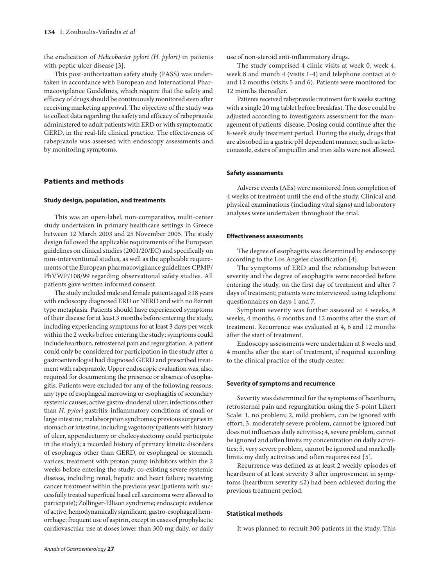the eradication of *Helicobacter pylori (H. pylori)* in patients with peptic ulcer disease [3].

This post-authorization safety study (PASS) was undertaken in accordance with European and International Pharmacovigilance Guidelines, which require that the safety and efficacy of drugs should be continuously monitored even after receiving marketing approval. The objective of the study was to collect data regarding the safety and efficacy of rabeprazole administered to adult patients with ERD or with symptomatic GERD, in the real-life clinical practice. The effectiveness of rabeprazole was assessed with endoscopy assessments and by monitoring symptoms.

# **Patients and methods**

#### **Study design, population, and treatments**

This was an open-label, non-comparative, multi-center study undertaken in primary healthcare settings in Greece between 12 March 2003 and 25 November 2005. The study design followed the applicable requirements of the European guidelines on clinical studies (2001/20/EC) and specifically on non-interventional studies, as well as the applicable requirements of the European pharmacovigilance guidelines CPMP/ PhVWP/108/99 regarding observational safety studies. All patients gave written informed consent.

The study included male and female patients aged ≥18 years with endoscopy diagnosed ERD or NERD and with no Barrett type metaplasia. Patients should have experienced symptoms of their disease for at least 3 months before entering the study, including experiencing symptoms for at least 3 days per week within the 2 weeks before entering the study; symptoms could include heartburn, retrosternal pain and regurgitation. A patient could only be considered for participation in the study after a gastroenterologist had diagnosed GERD and prescribed treatment with rabeprazole. Upper endoscopic evaluation was, also, required for documenting the presence or absence of esophagitis. Patients were excluded for any of the following reasons: any type of esophageal narrowing or esophagitis of secondary systemic causes; active gastro-duodenal ulcer; infections other than *H. pylori* gastritis; inflammatory conditions of small or large intestine; malabsorption syndromes; previous surgeries in stomach or intestine, including vagotomy (patients with history of ulcer, appendectomy or cholecystectomy could participate in the study); a recorded history of primary kinetic disorders of esophagus other than GERD, or esophageal or stomach varices; treatment with proton pump inhibitors within the 2 weeks before entering the study; co-existing severe systemic disease, including renal, hepatic and heart failure; receiving cancer treatment within the previous year (patients with successfully treated superficial basal cell carcinoma were allowed to participate); Zollinger-Ellison syndrome; endoscopic evidence of active, hemodynamically significant, gastro-esophageal hemorrhage; frequent use of aspirin, except in cases of prophylactic cardiovascular use at doses lower than 300 mg daily, or daily use of non-steroid anti-inflammatory drugs.

The study comprised 4 clinic visits at week 0, week 4, week 8 and month 4 (visits 1-4) and telephone contact at 6 and 12 months (visits 5 and 6). Patients were monitored for 12 months thereafter.

Patients received rabeprazole treatment for 8 weeks starting with a single 20 mg tablet before breakfast. The dose could be adjusted according to investigators assessment for the management of patients' disease. Dosing could continue after the 8-week study treatment period. During the study, drugs that are absorbed in a gastric pH dependent manner, such as ketoconazole, esters of ampicillin and iron salts were not allowed.

### **Safety assessments**

Adverse events (AEs) were monitored from completion of 4 weeks of treatment until the end of the study. Clinical and physical examinations (including vital signs) and laboratory analyses were undertaken throughout the trial.

# **Effectiveness assessments**

The degree of esophagitis was determined by endoscopy according to the Los Angeles classification [4].

The symptoms of ERD and the relationship between severity and the degree of esophagitis were recorded before entering the study, on the first day of treatment and after 7 days of treatment; patients were interviewed using telephone questionnaires on days 1 and 7.

Symptom severity was further assessed at 4 weeks, 8 weeks, 4 months, 6 months and 12 months after the start of treatment. Recurrence was evaluated at 4, 6 and 12 months after the start of treatment.

Endoscopy assessments were undertaken at 8 weeks and 4 months after the start of treatment, if required according to the clinical practice of the study center.

#### **Severity of symptoms and recurrence**

Severity was determined for the symptoms of heartburn, retrosternal pain and regurgitation using the 5-point Likert Scale: 1, no problem; 2, mild problem, can be ignored with effort; 3, moderately severe problem, cannot be ignored but does not influences daily activities; 4, severe problem, cannot be ignored and often limits my concentration on daily activities; 5, very severe problem, cannot be ignored and markedly limits my daily activities and often requires rest [5].

Recurrence was defined as at least 2 weekly episodes of heartburn of at least severity 3 after improvement in symptoms (heartburn severity ≤2) had been achieved during the previous treatment period.

# **Statistical methods**

It was planned to recruit 300 patients in the study. This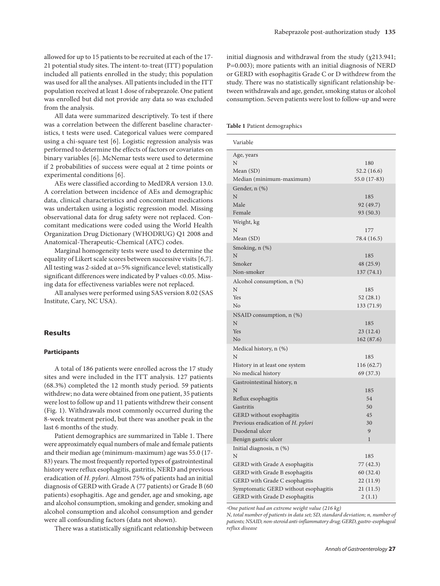allowed for up to 15 patients to be recruited at each of the 17- 21 potential study sites. The intent-to-treat (ITT) population included all patients enrolled in the study; this population was used for all the analyses. All patients included in the ITT population received at least 1 dose of rabeprazole. One patient was enrolled but did not provide any data so was excluded from the analysis.

All data were summarized descriptively. To test if there was a correlation between the different baseline characteristics, t tests were used. Categorical values were compared using a chi-square test [6]. Logistic regression analysis was performed to determine the effects of factors or covariates on binary variables [6]. McNemar tests were used to determine if 2 probabilities of success were equal at 2 time points or experimental conditions [6].

AEs were classified according to MedDRA version 13.0. A correlation between incidence of AEs and demographic data, clinical characteristics and concomitant medications was undertaken using a logistic regression model. Missing observational data for drug safety were not replaced. Concomitant medications were coded using the World Health Organization Drug Dictionary (WHODRUG) Q1 2008 and Anatomical-Therapeutic-Chemical (ATC) codes.

Marginal homogeneity tests were used to determine the equality of Likert scale scores between successive visits [6,7]. All testing was 2-sided at α=5% significance level; statistically significant differences were indicated by P values <0.05. Missing data for effectiveness variables were not replaced.

All analyses were performed using SAS version 8.02 (SAS Institute, Cary, NC USA).

# **Results**

# **Participants**

A total of 186 patients were enrolled across the 17 study sites and were included in the ITT analysis. 127 patients (68.3%) completed the 12 month study period. 59 patients withdrew; no data were obtained from one patient, 35 patients were lost to follow up and 11 patients withdrew their consent (Fig. 1). Withdrawals most commonly occurred during the 8-week treatment period, but there was another peak in the last 6 months of the study.

Patient demographics are summarized in Table 1. There were approximately equal numbers of male and female patients and their median age (minimum-maximum) age was 55.0 (17- 83) years. The most frequently reported types of gastrointestinal history were reflux esophagitis, gastritis, NERD and previous eradication of *H. pylori*. Almost 75% of patients had an initial diagnosis of GERD with Grade A (77 patients) or Grade B (60 patients) esophagitis. Age and gender, age and smoking, age and alcohol consumption, smoking and gender, smoking and alcohol consumption and alcohol consumption and gender were all confounding factors (data not shown).

There was a statistically significant relationship between

initial diagnosis and withdrawal from the study  $(\chi213.941;$ P=0.003); more patients with an initial diagnosis of NERD or GERD with esophagitis Grade C or D withdrew from the study. There was no statistically significant relationship between withdrawals and age, gender, smoking status or alcohol consumption. Seven patients were lost to follow-up and were

**Table 1** Patient demographics

| Variable                                                                                                                                                                                                  |                                                                  |
|-----------------------------------------------------------------------------------------------------------------------------------------------------------------------------------------------------------|------------------------------------------------------------------|
| Age, years<br>N<br>Mean (SD)<br>Median (minimum-maximum)                                                                                                                                                  | 180<br>52.2 (16.6)<br>55.0 (17-83)                               |
| Gender, n (%)<br>N<br>Male<br>Female                                                                                                                                                                      | 185<br>92 (49.7)<br>93 (50.3)                                    |
| Weight, kg<br>N<br>Mean (SD)                                                                                                                                                                              | 177<br>78.4 (16.5)                                               |
| Smoking, n (%)<br>N<br>Smoker<br>Non-smoker                                                                                                                                                               | 185<br>48 (25.9)<br>137 (74.1)                                   |
| Alcohol consumption, $n$ $(\%)$<br>N<br>Yes<br>No                                                                                                                                                         | 185<br>52 (28.1)<br>133 (71.9)                                   |
| NSAID consumption, n (%)<br>N<br>Yes<br>No                                                                                                                                                                | 185<br>23 (12.4)<br>162 (87.6)                                   |
| Medical history, n (%)<br>N<br>History in at least one system<br>No medical history                                                                                                                       | 185<br>116 (62.7)<br>69 (37.3)                                   |
| Gastrointestinal history, n<br>N<br>Reflux esophagitis<br>Gastritis<br><b>GERD</b> without esophagitis<br>Previous eradication of H. pylori<br>Duodenal ulcer<br>Benign gastric ulcer                     | 185<br>54<br>50<br>45<br>30<br>9<br>1                            |
| Initial diagnosis, n (%)<br>N<br>GERD with Grade A esophagitis<br>GERD with Grade B esophagitis<br>GERD with Grade C esophagitis<br>Symptomatic GERD without esophagitis<br>GERD with Grade D esophagitis | 185<br>77 (42.3)<br>60 (32.4)<br>22 (11.9)<br>21(11.5)<br>2(1.1) |

*1One patient had an extreme weight value (216 kg)*

*N, total number of patients in data set; SD, standard deviation; n, number of patients; NSAID, non-steroid anti-inflammatory drug; GERD, gastro-esophageal reflux disease*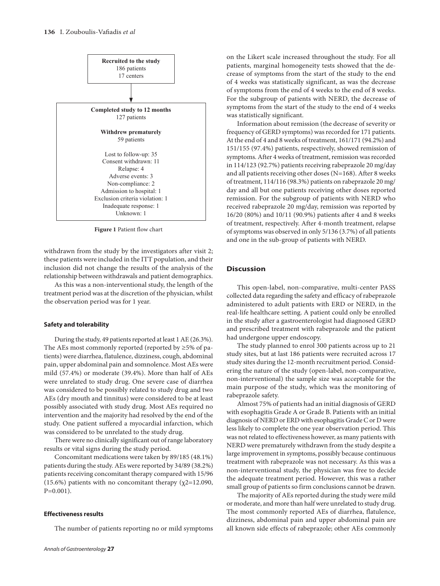

**Figure 1** Patient flow chart

withdrawn from the study by the investigators after visit 2; these patients were included in the ITT population, and their inclusion did not change the results of the analysis of the relationship between withdrawals and patient demographics.

As this was a non-interventional study, the length of the treatment period was at the discretion of the physician, whilst the observation period was for 1 year.

## **Safety and tolerability**

During the study, 49 patients reported at least 1 AE (26.3%). The AEs most commonly reported (reported by ≥5% of patients) were diarrhea, flatulence, dizziness, cough, abdominal pain, upper abdominal pain and somnolence. Most AEs were mild (57.4%) or moderate (39.4%). More than half of AEs were unrelated to study drug. One severe case of diarrhea was considered to be possibly related to study drug and two AEs (dry mouth and tinnitus) were considered to be at least possibly associated with study drug. Most AEs required no intervention and the majority had resolved by the end of the study. One patient suffered a myocardial infarction, which was considered to be unrelated to the study drug.

There were no clinically significant out of range laboratory results or vital signs during the study period.

Concomitant medications were taken by 89/185 (48.1%) patients during the study. AEs were reported by 34/89 (38.2%) patients receiving concomitant therapy compared with 15/96 (15.6%) patients with no concomitant therapy ( $\chi$ 2=12.090, P=0.001).

# **Effectiveness results**

The number of patients reporting no or mild symptoms

on the Likert scale increased throughout the study. For all patients, marginal homogeneity tests showed that the decrease of symptoms from the start of the study to the end of 4 weeks was statistically significant, as was the decrease of symptoms from the end of 4 weeks to the end of 8 weeks. For the subgroup of patients with NERD, the decrease of symptoms from the start of the study to the end of 4 weeks was statistically significant.

Information about remission (the decrease of severity or frequency of GERD symptoms) was recorded for 171 patients. At the end of 4 and 8 weeks of treatment, 161/171 (94.2%) and 151/155 (97.4%) patients, respectively, showed remission of symptoms. After 4 weeks of treatment, remission was recorded in 114/123 (92.7%) patients receiving rabeprazole 20 mg/day and all patients receiving other doses (N=168). After 8 weeks of treatment, 114/116 (98.3%) patients on rabeprazole 20 mg/ day and all but one patients receiving other doses reported remission. For the subgroup of patients with NERD who received rabeprazole 20 mg/day, remission was reported by 16/20 (80%) and 10/11 (90.9%) patients after 4 and 8 weeks of treatment, respectively. After 4-month treatment, relapse of symptoms was observed in only 5/136 (3.7%) of all patients and one in the sub-group of patients with NERD.

# **Discussion**

This open-label, non-comparative, multi-center PASS collected data regarding the safety and efficacy of rabeprazole administered to adult patients with ERD or NERD, in the real-life healthcare setting. A patient could only be enrolled in the study after a gastroenterologist had diagnosed GERD and prescribed treatment with rabeprazole and the patient had undergone upper endoscopy.

The study planned to enrol 300 patients across up to 21 study sites, but at last 186 patients were recruited across 17 study sites during the 12-month recruitment period. Considering the nature of the study (open-label, non-comparative, non-interventional) the sample size was acceptable for the main purpose of the study, which was the monitoring of rabeprazole safety.

Almost 75% of patients had an initial diagnosis of GERD with esophagitis Grade A or Grade B. Patients with an initial diagnosis of NERD or ERD with esophagitis Grade C or D were less likely to complete the one year observation period. This was not related to effectiveness however, as many patients with NERD were prematurely withdrawn from the study despite a large improvement in symptoms, possibly because continuous treatment with rabeprazole was not necessary. As this was a non-interventional study, the physician was free to decide the adequate treatment period. However, this was a rather small group of patients so firm conclusions cannot be drawn.

The majority of AEs reported during the study were mild or moderate, and more than half were unrelated to study drug. The most commonly reported AEs of diarrhea, flatulence, dizziness, abdominal pain and upper abdominal pain are all known side effects of rabeprazole; other AEs commonly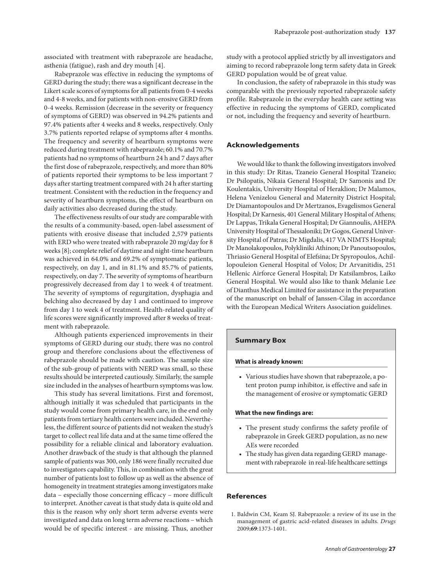associated with treatment with rabeprazole are headache, asthenia (fatigue), rash and dry mouth [4].

Rabeprazole was effective in reducing the symptoms of GERD during the study; there was a significant decrease in the Likert scale scores of symptoms for all patients from 0-4 weeks and 4-8 weeks, and for patients with non-erosive GERD from 0-4 weeks. Remission (decrease in the severity or frequency of symptoms of GERD) was observed in 94.2% patients and 97.4% patients after 4 weeks and 8 weeks, respectively. Only 3.7% patients reported relapse of symptoms after 4 months. The frequency and severity of heartburn symptoms were reduced during treatment with rabeprazole; 60.1% and 70.7% patients had no symptoms of heartburn 24 h and 7 days after the first dose of rabeprazole, respectively, and more than 80% of patients reported their symptoms to be less important 7 days after starting treatment compared with 24 h after starting treatment. Consistent with the reduction in the frequency and severity of heartburn symptoms, the effect of heartburn on daily activities also decreased during the study.

The effectiveness results of our study are comparable with the results of a community-based, open-label assessment of patients with erosive disease that included 2,579 patients with ERD who were treated with rabeprazole 20 mg/day for 8 weeks [8]; complete relief of daytime and night-time heartburn was achieved in 64.0% and 69.2% of symptomatic patients, respectively, on day 1, and in 81.1% and 85.7% of patients, respectively, on day 7. The severity of symptoms of heartburn progressively decreased from day 1 to week 4 of treatment. The severity of symptoms of regurgitation, dysphagia and belching also decreased by day 1 and continued to improve from day 1 to week 4 of treatment. Health-related quality of life scores were significantly improved after 8 weeks of treatment with rabeprazole.

Although patients experienced improvements in their symptoms of GERD during our study, there was no control group and therefore conclusions about the effectiveness of rabeprazole should be made with caution. The sample size of the sub-group of patients with NERD was small, so these results should be interpreted cautiously. Similarly, the sample size included in the analyses of heartburn symptoms was low.

This study has several limitations. First and foremost, although initially it was scheduled that participants in the study would come from primary health care, in the end only patients from tertiary health centers were included. Nevertheless, the different source of patients did not weaken the study's target to collect real life data and at the same time offered the possibility for a reliable clinical and laboratory evaluation. Another drawback of the study is that although the planned sample of patients was 300, only 186 were finally recruited due to investigators capability. This, in combination with the great number of patients lost to follow up as well as the absence of homogeneity in treatment strategies among investigators make data – especially those concerning efficacy – more difficult to interpret. Another caveat is that study data is quite old and this is the reason why only short term adverse events were investigated and data on long term adverse reactions – which would be of specific interest - are missing. Thus, another

study with a protocol applied strictly by all investigators and aiming to record rabeprazole long term safety data in Greek GERD population would be of great value.

In conclusion, the safety of rabeprazole in this study was comparable with the previously reported rabeprazole safety profile. Rabeprazole in the everyday health care setting was effective in reducing the symptoms of GERD, complicated or not, including the frequency and severity of heartburn.

# **Acknowledgements**

We would like to thank the following investigators involved in this study: Dr Ritas, Tzaneio General Hospital Tzaneio; Dr Psilopatis, Nikaia General Hospital; Dr Samonis and Dr Koulentakis, University Hospital of Heraklion; Dr Malamos, Helena Venizelou General and Maternity District Hospital; Dr Diamantopoulos and Dr Mertzanos, Evagelismos General Hospital; Dr Karnesis, 401 General Military Hospital of Athens; Dr Lappas, Trikala General Hospital; Dr Giannoulis, AHEPA University Hospital of Thessaloniki; Dr Gogos, General University Hospital of Patras; Dr Migdalis, 417 VA NIMTS Hospital; Dr Manolakopoulos, Polykliniki Athinon; Dr Panoutsopoulos, Thriasio General Hospital of Elefsina; Dr Spyropoulos, Achillopouleion General Hospital of Volos; Dr Arvanitidis, 251 Hellenic Airforce General Hospital; Dr Katsilambros, Laiko General Hospital. We would also like to thank Melanie Lee of Dianthus Medical Limited for assistance in the preparation of the manuscript on behalf of Janssen-Cilag in accordance with the European Medical Writers Association guidelines.

#### **Summary Box**

#### **What is already known:**

• Various studies have shown that rabeprazole, a potent proton pump inhibitor, is effective and safe in the management of erosive or symptomatic GERD

#### **What the new findings are:**

- • The present study confirms the safety profile of rabeprazole in Greek GERD population, as no new AEs were recorded
- The study has given data regarding GERD management with rabeprazole in real-life healthcare settings

# **References**

1. Baldwin CM, Keam SJ. Rabeprazole: a review of its use in the management of gastric acid-related diseases in adults. *Drugs* 2009;**69**:1373-1401.